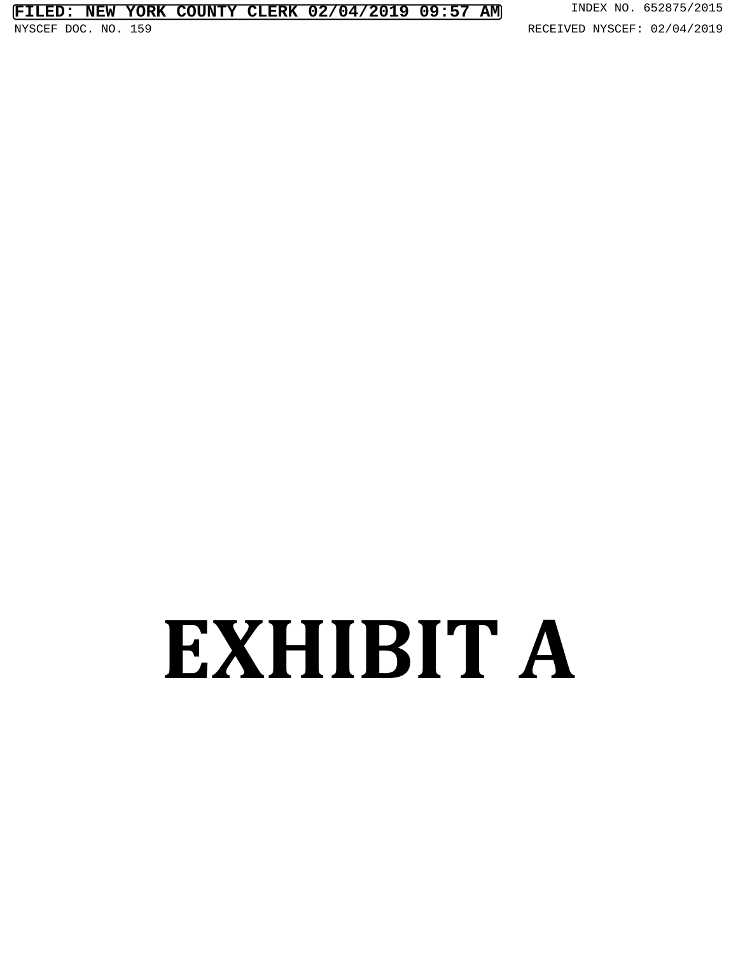# **EXHIBIT A**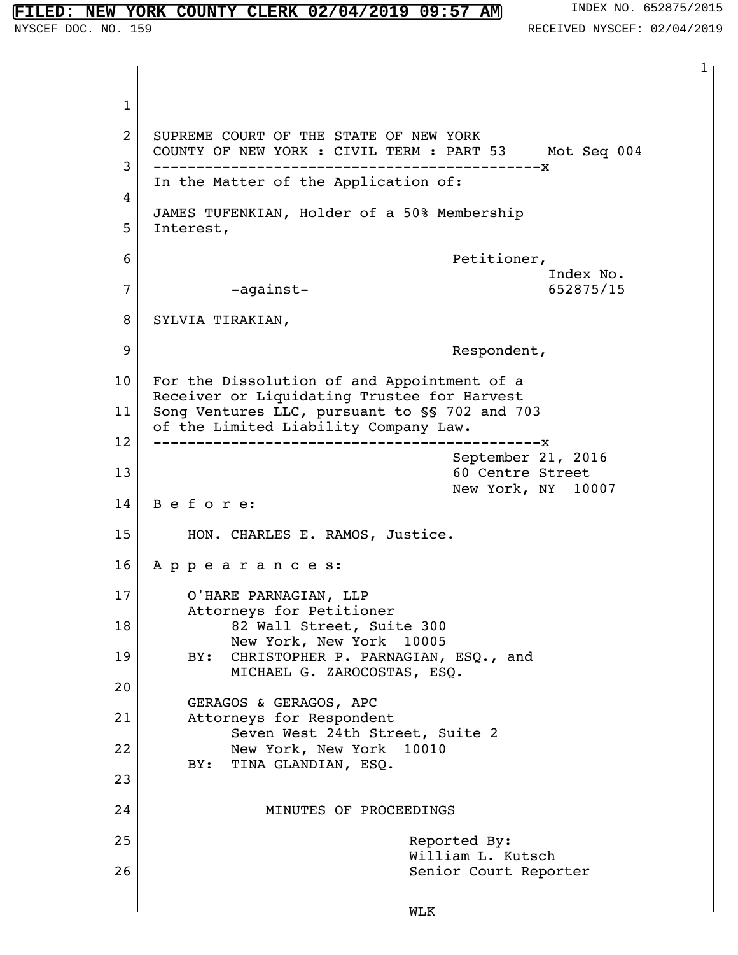#### 1 2 3 4 5 6 7 8 9 10 11 12 13 14 15 16 17 18 19 20 21 22 23 24 25 26 1 SUPREME COURT OF THE STATE OF NEW YORK COUNTY OF NEW YORK : CIVIL TERM : PART 53 Mot Seq 004 ---------------------------------------------x In the Matter of the Application of: JAMES TUFENKIAN, Holder of a 50% Membership Interest, Petitioner, Index No. -against- 652875/15 SYLVIA TIRAKIAN, Respondent, For the Dissolution of and Appointment of a Receiver or Liquidating Trustee for Harvest Song Ventures LLC, pursuant to §§ 702 and 703 of the Limited Liability Company Law. ---------------------------------------------x September 21, 2016 60 Centre Street New York, NY 10007 B e f o r e: HON. CHARLES E. RAMOS, Justice. A p p e a r a n c e s: O'HARE PARNAGIAN, LLP Attorneys for Petitioner 82 Wall Street, Suite 300 New York, New York 10005 BY: CHRISTOPHER P. PARNAGIAN, ESQ., and MICHAEL G. ZAROCOSTAS, ESQ. GERAGOS & GERAGOS, APC Attorneys for Respondent Seven West 24th Street, Suite 2 New York, New York 10010 BY: TINA GLANDIAN, ESQ. MINUTES OF PROCEEDINGS Reported By: William L. Kutsch **NEW YORK COUNTY CLERK 02/04/2019 09:57 AM** INDEX NO. 652875/2015 NYSCEF DOC. NO. 159 **RECEIVED NYSCEF: 02/04/2019**

Senior Court Reporter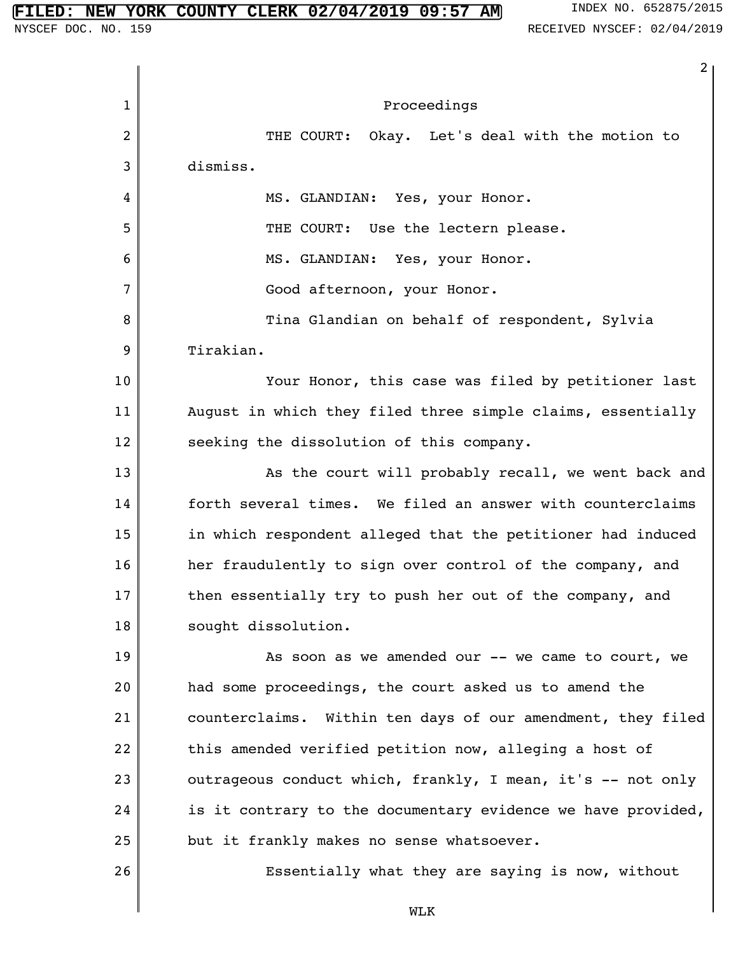1 2 3 4 5 6 7 8 9 10 11 12 13 14 15 16 17 18 19 20 21 22 23 24 25 26 2 Proceedings THE COURT: Okay. Let's deal with the motion to dismiss. MS. GLANDIAN: Yes, your Honor. THE COURT: Use the lectern please. MS. GLANDIAN: Yes, your Honor. Good afternoon, your Honor. Tina Glandian on behalf of respondent, Sylvia Tirakian. Your Honor, this case was filed by petitioner last August in which they filed three simple claims, essentially seeking the dissolution of this company. As the court will probably recall, we went back and forth several times. We filed an answer with counterclaims in which respondent alleged that the petitioner had induced her fraudulently to sign over control of the company, and then essentially try to push her out of the company, and sought dissolution. As soon as we amended our -- we came to court, we had some proceedings, the court asked us to amend the counterclaims. Within ten days of our amendment, they filed this amended verified petition now, alleging a host of outrageous conduct which, frankly, I mean, it's -- not only is it contrary to the documentary evidence we have provided, but it frankly makes no sense whatsoever. Essentially what they are saying is now, without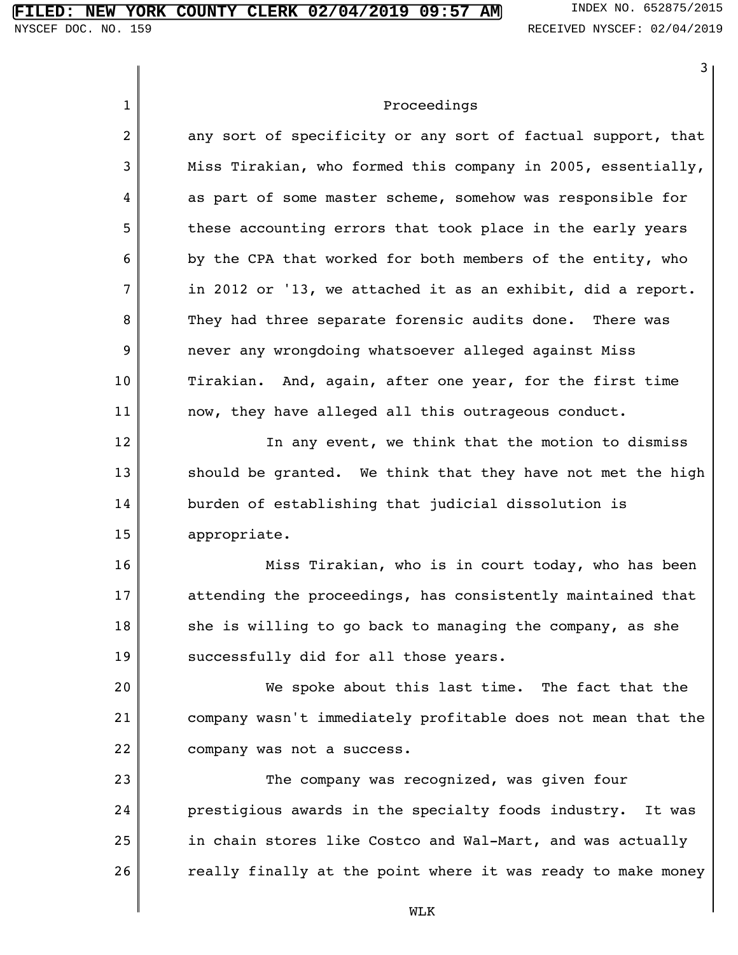|                | 3                                                             |
|----------------|---------------------------------------------------------------|
| $\mathbf{1}$   | Proceedings                                                   |
| $\overline{2}$ | any sort of specificity or any sort of factual support, that  |
| 3              | Miss Tirakian, who formed this company in 2005, essentially,  |
| 4              | as part of some master scheme, somehow was responsible for    |
| 5              | these accounting errors that took place in the early years    |
| 6              | by the CPA that worked for both members of the entity, who    |
| $\overline{7}$ | in 2012 or '13, we attached it as an exhibit, did a report.   |
| 8              | They had three separate forensic audits done. There was       |
| 9              | never any wrongdoing whatsoever alleged against Miss          |
| 10             | Tirakian. And, again, after one year, for the first time      |
| 11             | now, they have alleged all this outrageous conduct.           |
| 12             | In any event, we think that the motion to dismiss             |
| 13             | should be granted. We think that they have not met the high   |
| 14             | burden of establishing that judicial dissolution is           |
| 15             | appropriate.                                                  |
| 16             | Miss Tirakian, who is in court today, who has been            |
| 17             | attending the proceedings, has consistently maintained that   |
| 18             | she is willing to go back to managing the company, as she     |
| 19             | successfully did for all those years.                         |
| 20             | We spoke about this last time. The fact that the              |
| 21             | company wasn't immediately profitable does not mean that the  |
| 22             | company was not a success.                                    |
| 23             | The company was recognized, was given four                    |
| 24             | prestigious awards in the specialty foods industry.<br>It was |
| 25             | in chain stores like Costco and Wal-Mart, and was actually    |
| 26             | really finally at the point where it was ready to make money  |
|                | <b>MT.K</b>                                                   |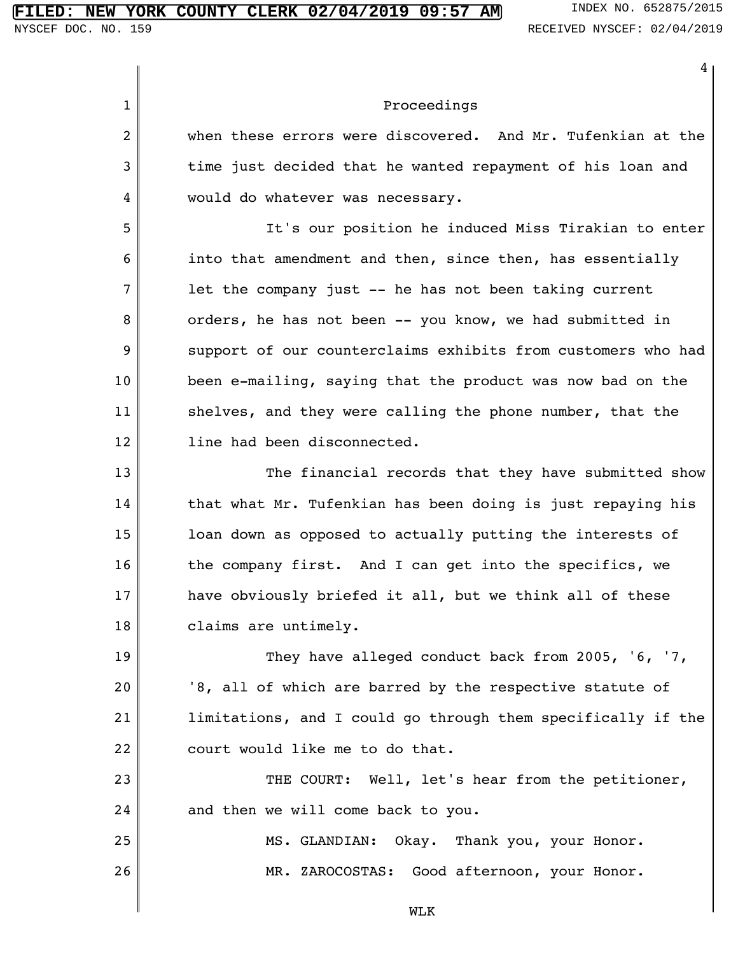#### **FIRE COUNTY CLERK 02/04/2019 09:57 AM** INDEX NO. 652875/2015

4

1 2 3 4 5 6 7 8 9 10 11 12 13 14 15 16 17 18 19 20 21 22 23 24 25 26 Proceedings when these errors were discovered. And Mr. Tufenkian at the time just decided that he wanted repayment of his loan and would do whatever was necessary. It's our position he induced Miss Tirakian to enter into that amendment and then, since then, has essentially let the company just -- he has not been taking current orders, he has not been -- you know, we had submitted in support of our counterclaims exhibits from customers who had been e-mailing, saying that the product was now bad on the shelves, and they were calling the phone number, that the line had been disconnected. The financial records that they have submitted show that what Mr. Tufenkian has been doing is just repaying his loan down as opposed to actually putting the interests of the company first. And I can get into the specifics, we have obviously briefed it all, but we think all of these claims are untimely. They have alleged conduct back from 2005, '6, '7, '8, all of which are barred by the respective statute of limitations, and I could go through them specifically if the court would like me to do that. THE COURT: Well, let's hear from the petitioner, and then we will come back to you. MS. GLANDIAN: Okay. Thank you, your Honor. MR. ZAROCOSTAS: Good afternoon, your Honor.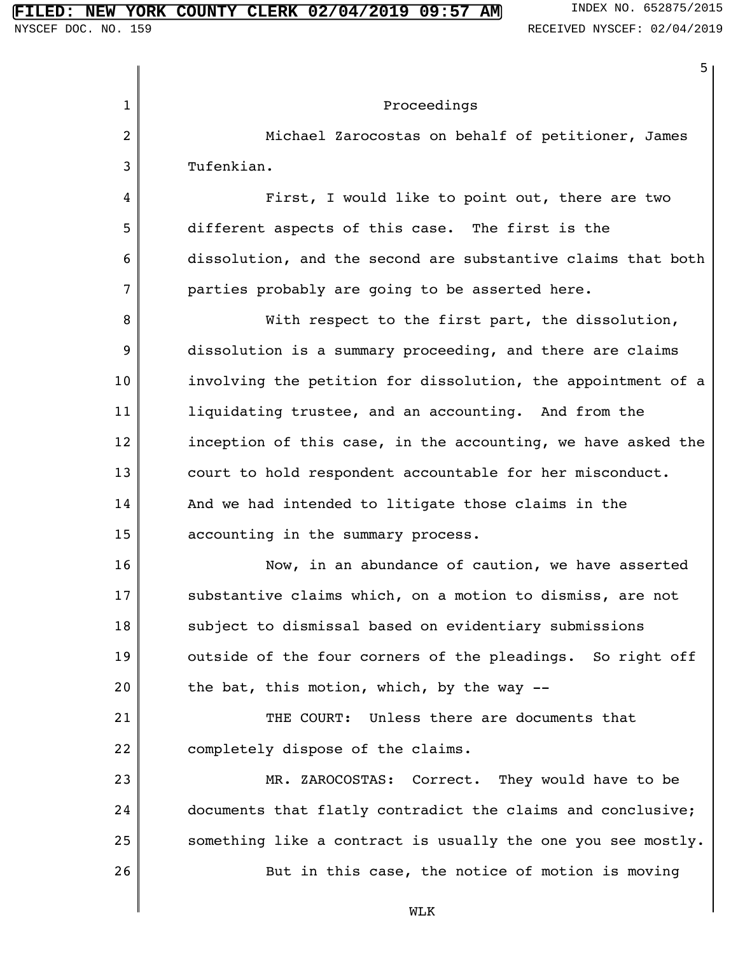1 2 3 4 5 6 7 8 9 10 11 12 13 14 15 16 17 18 19 20 21 22 23 24 25 26 5 Proceedings Michael Zarocostas on behalf of petitioner, James Tufenkian. First, I would like to point out, there are two different aspects of this case. The first is the dissolution, and the second are substantive claims that both parties probably are going to be asserted here. With respect to the first part, the dissolution, dissolution is a summary proceeding, and there are claims involving the petition for dissolution, the appointment of a liquidating trustee, and an accounting. And from the inception of this case, in the accounting, we have asked the court to hold respondent accountable for her misconduct. And we had intended to litigate those claims in the accounting in the summary process. Now, in an abundance of caution, we have asserted substantive claims which, on a motion to dismiss, are not subject to dismissal based on evidentiary submissions outside of the four corners of the pleadings. So right off the bat, this motion, which, by the way -- THE COURT: Unless there are documents that completely dispose of the claims. MR. ZAROCOSTAS: Correct. They would have to be documents that flatly contradict the claims and conclusive; something like a contract is usually the one you see mostly. But in this case, the notice of motion is moving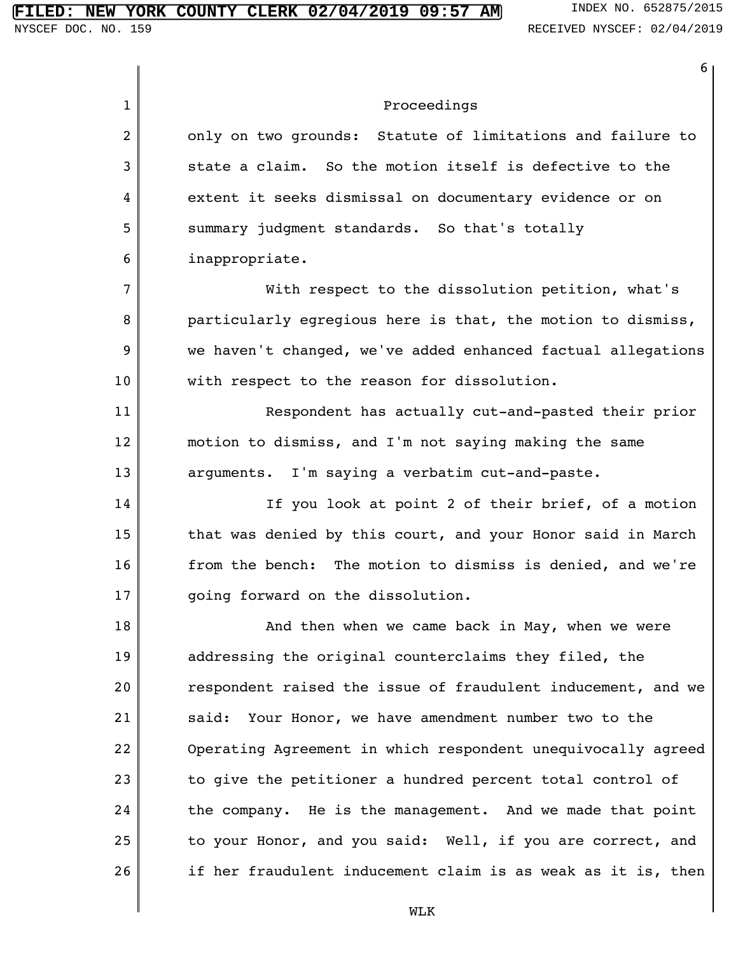|              | 6                                                            |
|--------------|--------------------------------------------------------------|
| $\mathbf{1}$ | Proceedings                                                  |
| 2            | only on two grounds: Statute of limitations and failure to   |
| 3            | state a claim. So the motion itself is defective to the      |
| 4            | extent it seeks dismissal on documentary evidence or on      |
| 5            | summary judgment standards. So that's totally                |
| 6            | inappropriate.                                               |
| 7            | With respect to the dissolution petition, what's             |
| 8            | particularly egregious here is that, the motion to dismiss,  |
| 9            | we haven't changed, we've added enhanced factual allegations |
| 10           | with respect to the reason for dissolution.                  |
| 11           | Respondent has actually cut-and-pasted their prior           |
| 12           | motion to dismiss, and I'm not saying making the same        |
| 13           | I'm saying a verbatim cut-and-paste.<br>arguments.           |
| 14           | If you look at point 2 of their brief, of a motion           |
| 15           | that was denied by this court, and your Honor said in March  |
| 16           | from the bench: The motion to dismiss is denied, and we're   |
| 17           | going forward on the dissolution.                            |
| 18           | And then when we came back in May, when we were              |
| 19           | addressing the original counterclaims they filed, the        |
| 20           | respondent raised the issue of fraudulent inducement, and we |
| 21           | said: Your Honor, we have amendment number two to the        |
| 22           | Operating Agreement in which respondent unequivocally agreed |
| 23           | to give the petitioner a hundred percent total control of    |
| 24           | the company. He is the management. And we made that point    |
| 25           | to your Honor, and you said: Well, if you are correct, and   |
| 26           | if her fraudulent inducement claim is as weak as it is, then |
|              | <b>MT K</b>                                                  |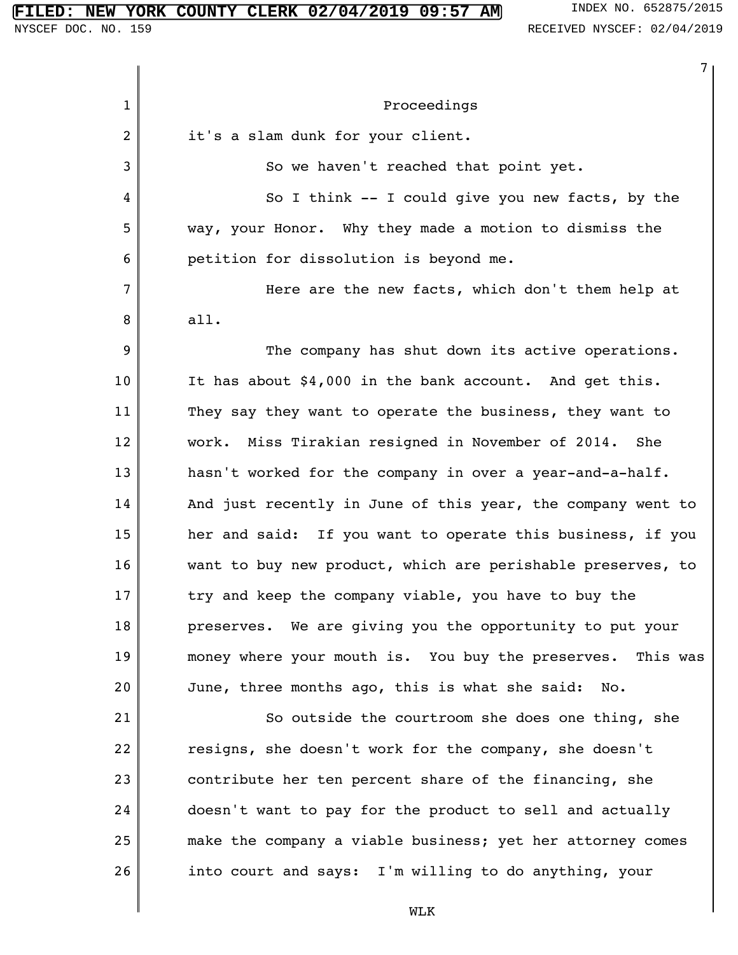# **FILED: NEW YORK COUNTY CLERK 02/04/2019 09:57 AM** INDEX NO. 652875/2015<br>NYSCEF DOC. NO. 159<br>RECEIVED NYSCEF: 02/04/2019

|              | 7                                                           |
|--------------|-------------------------------------------------------------|
| $\mathbf{1}$ | Proceedings                                                 |
| 2            | it's a slam dunk for your client.                           |
| 3            | So we haven't reached that point yet.                       |
| 4            | So I think -- I could give you new facts, by the            |
| 5            | way, your Honor. Why they made a motion to dismiss the      |
| 6            | petition for dissolution is beyond me.                      |
| 7            | Here are the new facts, which don't them help at            |
| 8            | all.                                                        |
| 9            | The company has shut down its active operations.            |
| 10           | It has about \$4,000 in the bank account. And get this.     |
| 11           | They say they want to operate the business, they want to    |
| 12           | work. Miss Tirakian resigned in November of 2014.<br>She    |
| 13           | hasn't worked for the company in over a year-and-a-half.    |
| 14           | And just recently in June of this year, the company went to |
| 15           | her and said: If you want to operate this business, if you  |
| 16           | want to buy new product, which are perishable preserves, to |
| 17           | try and keep the company viable, you have to buy the        |
| 18           | preserves. We are giving you the opportunity to put your    |
| 19           | money where your mouth is. You buy the preserves. This was  |
| 20           | June, three months ago, this is what she said: No.          |
| 21           | So outside the courtroom she does one thing, she            |
| 22           | resigns, she doesn't work for the company, she doesn't      |
| 23           | contribute her ten percent share of the financing, she      |
| 24           | doesn't want to pay for the product to sell and actually    |
| 25           | make the company a viable business; yet her attorney comes  |
| 26           | into court and says: I'm willing to do anything, your       |
|              | <b>MT K</b>                                                 |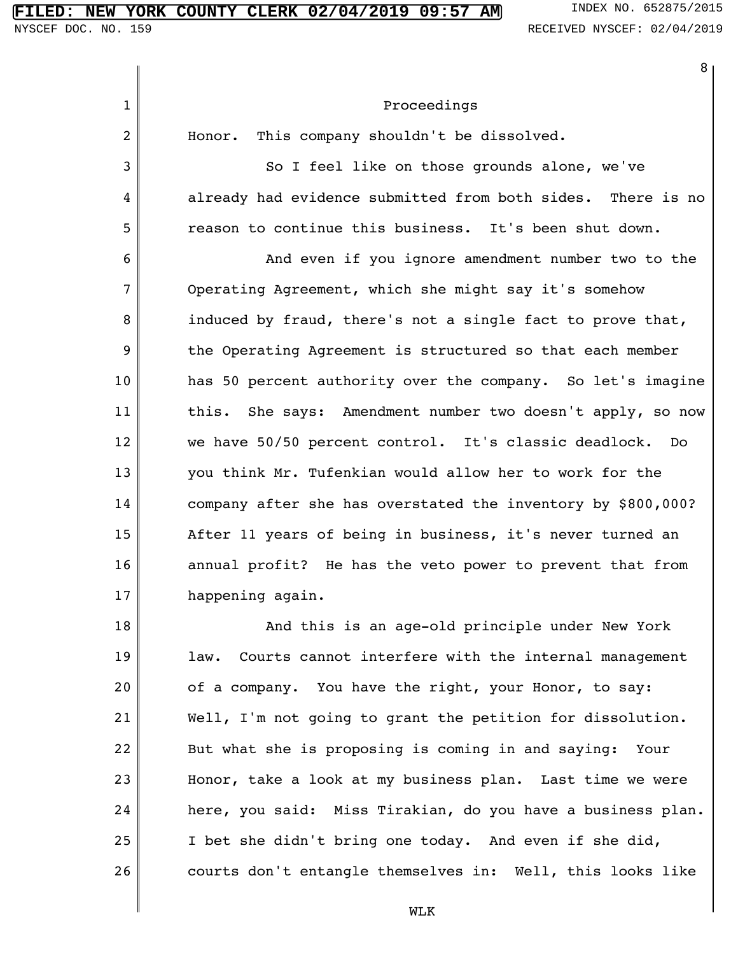26

|                | 8                                                             |
|----------------|---------------------------------------------------------------|
| $\mathbf{1}$   | Proceedings                                                   |
| $\overline{2}$ | This company shouldn't be dissolved.<br>Honor.                |
| 3              | So I feel like on those grounds alone, we've                  |
| 4              | already had evidence submitted from both sides. There is no   |
| 5              | reason to continue this business. It's been shut down.        |
| 6              | And even if you ignore amendment number two to the            |
| 7              | Operating Agreement, which she might say it's somehow         |
| 8              | induced by fraud, there's not a single fact to prove that,    |
| 9              | the Operating Agreement is structured so that each member     |
| 10             | has 50 percent authority over the company. So let's imagine   |
| 11             | She says: Amendment number two doesn't apply, so now<br>this. |
| 12             | we have 50/50 percent control. It's classic deadlock. Do      |
| 13             | you think Mr. Tufenkian would allow her to work for the       |
| 14             | company after she has overstated the inventory by \$800,000?  |
| 15             | After 11 years of being in business, it's never turned an     |
| 16             | annual profit? He has the veto power to prevent that from     |
| 17             | happening again.                                              |
| 18             | And this is an age-old principle under New York               |
| 19             | Courts cannot interfere with the internal management<br>law.  |
| 20             | of a company. You have the right, your Honor, to say:         |
| 21             | Well, I'm not going to grant the petition for dissolution.    |
| 22             | But what she is proposing is coming in and saying: Your       |
| 23             | Honor, take a look at my business plan. Last time we were     |
| 24             | here, you said: Miss Tirakian, do you have a business plan.   |
| 25             | I bet she didn't bring one today. And even if she did,        |

WLK

courts don't entangle themselves in: Well, this looks like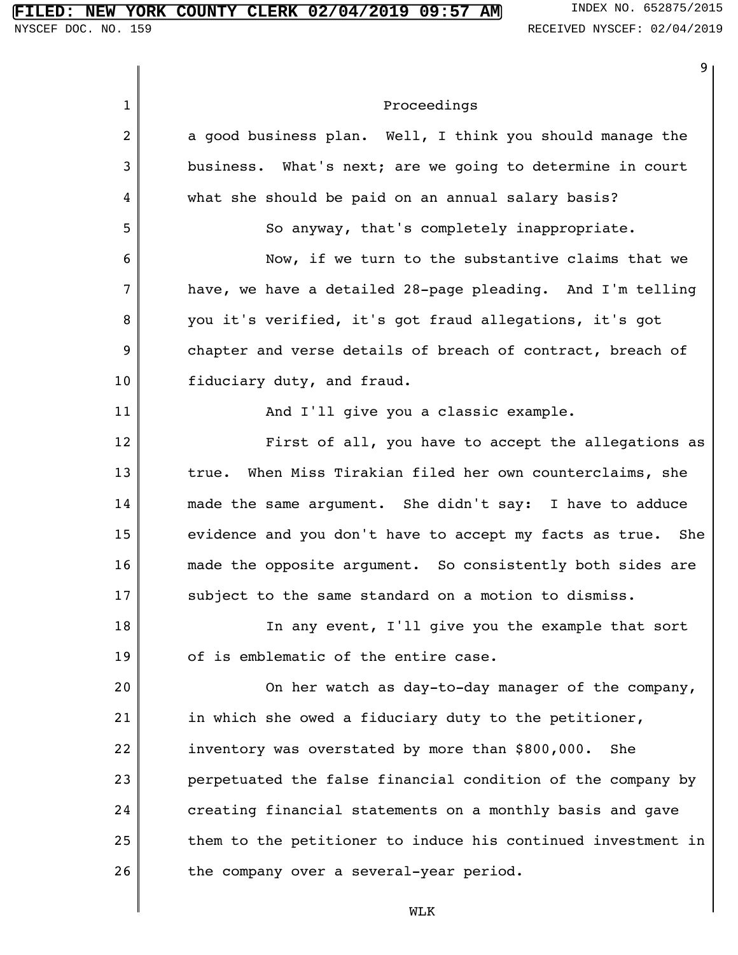|              | 9                                                            |
|--------------|--------------------------------------------------------------|
| $\mathbf{1}$ | Proceedings                                                  |
| 2            | a good business plan. Well, I think you should manage the    |
| 3            | business. What's next; are we going to determine in court    |
| 4            | what she should be paid on an annual salary basis?           |
| 5            | So anyway, that's completely inappropriate.                  |
| 6            | Now, if we turn to the substantive claims that we            |
| 7            | have, we have a detailed 28-page pleading. And I'm telling   |
| 8            | you it's verified, it's got fraud allegations, it's got      |
| 9            | chapter and verse details of breach of contract, breach of   |
| 10           | fiduciary duty, and fraud.                                   |
| 11           | And I'll give you a classic example.                         |
| 12           | First of all, you have to accept the allegations as          |
| 13           | When Miss Tirakian filed her own counterclaims, she<br>true. |
| 14           | made the same argument. She didn't say: I have to adduce     |
| 15           | evidence and you don't have to accept my facts as true. She  |
| 16           | made the opposite argument. So consistently both sides are   |
| 17           | subject to the same standard on a motion to dismiss.         |
| 18           | In any event, I'll give you the example that sort            |
| 19           | of is emblematic of the entire case.                         |
| 20           | On her watch as day-to-day manager of the company,           |
| 21           | in which she owed a fiduciary duty to the petitioner,        |
| 22           | inventory was overstated by more than \$800,000.<br>She      |
| 23           | perpetuated the false financial condition of the company by  |
| 24           | creating financial statements on a monthly basis and gave    |
| 25           | them to the petitioner to induce his continued investment in |
| 26           | the company over a several-year period.                      |
|              | <b>WT.K</b>                                                  |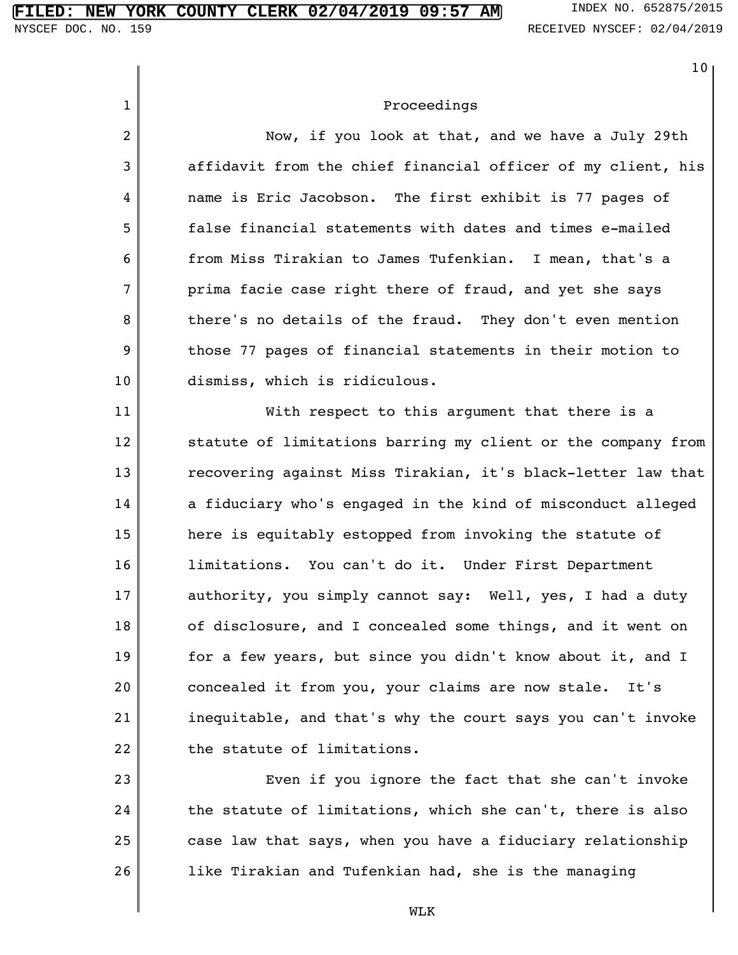|                | 10 <sub>o</sub>                                              |
|----------------|--------------------------------------------------------------|
| $\mathbf{1}$   | Proceedings                                                  |
| $\overline{2}$ | Now, if you look at that, and we have a July 29th            |
| 3              | affidavit from the chief financial officer of my client, his |
| 4              | name is Eric Jacobson. The first exhibit is 77 pages of      |
| 5              | false financial statements with dates and times e-mailed     |
| 6              | from Miss Tirakian to James Tufenkian. I mean, that's a      |
| 7              | prima facie case right there of fraud, and yet she says      |
| 8              | there's no details of the fraud. They don't even mention     |
| 9              | those 77 pages of financial statements in their motion to    |
| 10             | dismiss, which is ridiculous.                                |
| 11             | With respect to this argument that there is a                |
| 12             | statute of limitations barring my client or the company from |
| 13             | recovering against Miss Tirakian, it's black-letter law that |
| 14             | a fiduciary who's engaged in the kind of misconduct alleged  |
| 15             | here is equitably estopped from invoking the statute of      |
| 16             | limitations. You can't do it. Under First Department         |
| 17             | authority, you simply cannot say: Well, yes, I had a duty    |
| 18             | of disclosure, and I concealed some things, and it went on   |
| 19             | for a few years, but since you didn't know about it, and I   |
| 20             | concealed it from you, your claims are now stale. It's       |
| 21             | inequitable, and that's why the court says you can't invoke  |
| 22             | the statute of limitations.                                  |
| 23             | Even if you ignore the fact that she can't invoke            |
| 24             | the statute of limitations, which she can't, there is also   |
| 25             | case law that says, when you have a fiduciary relationship   |
| 26             | like Tirakian and Tufenkian had, she is the managing         |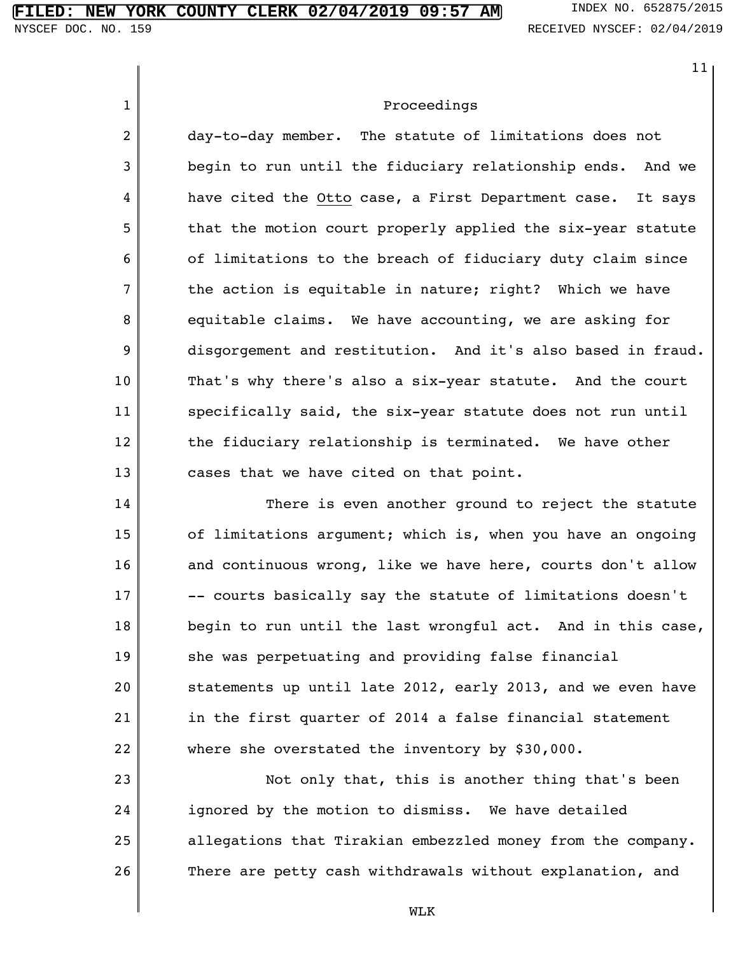1

2

3

4

5

6

7

8

9

10

11

12

13

14

15

16

17

18

19

20

21

22

11

#### Proceedings

day-to-day member. The statute of limitations does not begin to run until the fiduciary relationship ends. And we have cited the Otto case, a First Department case. It says that the motion court properly applied the six-year statute of limitations to the breach of fiduciary duty claim since the action is equitable in nature; right? Which we have equitable claims. We have accounting, we are asking for disgorgement and restitution. And it's also based in fraud. That's why there's also a six-year statute. And the court specifically said, the six-year statute does not run until the fiduciary relationship is terminated. We have other cases that we have cited on that point.

There is even another ground to reject the statute of limitations argument; which is, when you have an ongoing and continuous wrong, like we have here, courts don't allow -- courts basically say the statute of limitations doesn't begin to run until the last wrongful act. And in this case, she was perpetuating and providing false financial statements up until late 2012, early 2013, and we even have in the first quarter of 2014 a false financial statement where she overstated the inventory by \$30,000.

23 24 25 26 Not only that, this is another thing that's been ignored by the motion to dismiss. We have detailed allegations that Tirakian embezzled money from the company. There are petty cash withdrawals without explanation, and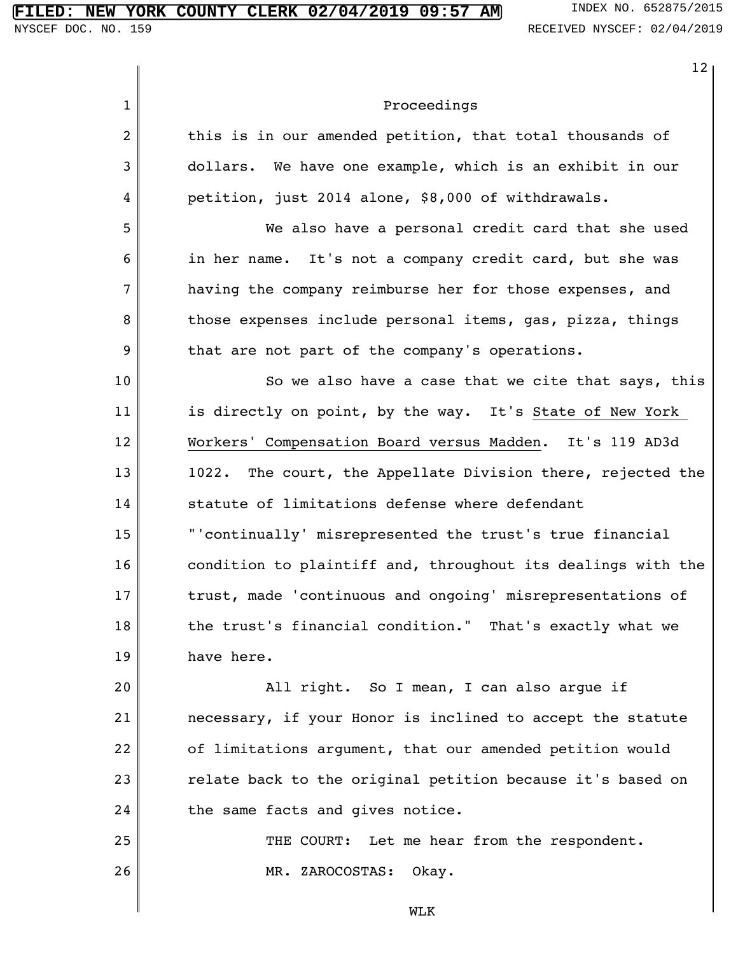# **FILED: NEW YORK COUNTY CLERK 02/04/2019 09:57 AM** INDEX NO. 652875/2015<br>NYSCEF DOC. NO. 159<br>RECEIVED NYSCEF: 02/04/2019

|              | 12 <sub>2</sub>                                                |
|--------------|----------------------------------------------------------------|
| $\mathbf{1}$ | Proceedings                                                    |
| 2            | this is in our amended petition, that total thousands of       |
| 3            | dollars. We have one example, which is an exhibit in our       |
| 4            | petition, just 2014 alone, \$8,000 of withdrawals.             |
| 5            | We also have a personal credit card that she used              |
| 6            | in her name. It's not a company credit card, but she was       |
| 7            | having the company reimburse her for those expenses, and       |
| 8            | those expenses include personal items, gas, pizza, things      |
| 9            | that are not part of the company's operations.                 |
| 10           | So we also have a case that we cite that says, this            |
| 11           | is directly on point, by the way. It's State of New York       |
| 12           | Workers' Compensation Board versus Madden. It's 119 AD3d       |
| 13           | The court, the Appellate Division there, rejected the<br>1022. |
| 14           | statute of limitations defense where defendant                 |
| 15           | "'continually' misrepresented the trust's true financial       |
| 16           | condition to plaintiff and, throughout its dealings with the   |
| 17           | trust, made 'continuous and ongoing' misrepresentations of     |
| 18           | the trust's financial condition." That's exactly what we       |
| 19           | have here.                                                     |
| 20           | All right. So I mean, I can also argue if                      |
| 21           | necessary, if your Honor is inclined to accept the statute     |
| 22           | of limitations argument, that our amended petition would       |
| 23           | relate back to the original petition because it's based on     |
| 24           | the same facts and gives notice.                               |
| 25           | THE COURT: Let me hear from the respondent.                    |
| 26           | MR. ZAROCOSTAS: Okay.                                          |
|              | <b>MT.K</b>                                                    |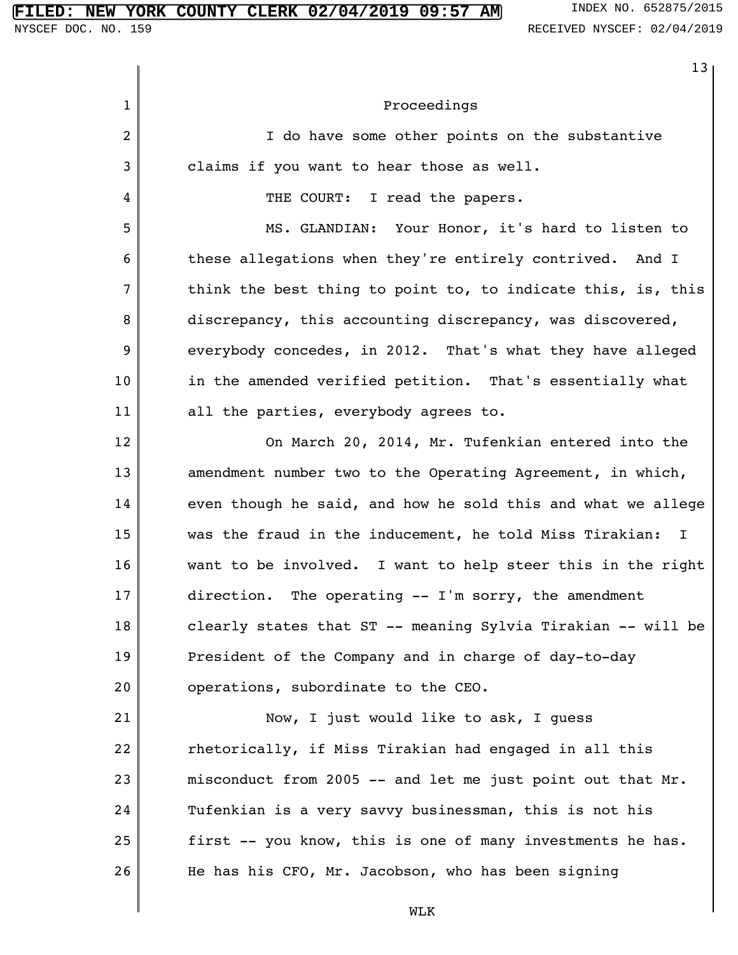#### **FIRE COUNTY CLERK 02/04/2019 09:57 AM** INDEX NO. 652875/2015

13

1 2 3 4 5 6 7 8 9 10 11 12 13 14 15 16 17 18 19 20 21 22 23 24 25 26 Proceedings I do have some other points on the substantive claims if you want to hear those as well. THE COURT: I read the papers. MS. GLANDIAN: Your Honor, it's hard to listen to these allegations when they're entirely contrived. And I think the best thing to point to, to indicate this, is, this discrepancy, this accounting discrepancy, was discovered, everybody concedes, in 2012. That's what they have alleged in the amended verified petition. That's essentially what all the parties, everybody agrees to. On March 20, 2014, Mr. Tufenkian entered into the amendment number two to the Operating Agreement, in which, even though he said, and how he sold this and what we allege was the fraud in the inducement, he told Miss Tirakian: I want to be involved. I want to help steer this in the right direction. The operating -- I'm sorry, the amendment clearly states that ST -- meaning Sylvia Tirakian -- will be President of the Company and in charge of day-to-day operations, subordinate to the CEO. Now, I just would like to ask, I guess rhetorically, if Miss Tirakian had engaged in all this misconduct from 2005  $-$  and let me just point out that Mr. Tufenkian is a very savvy businessman, this is not his first -- you know, this is one of many investments he has. He has his CFO, Mr. Jacobson, who has been signing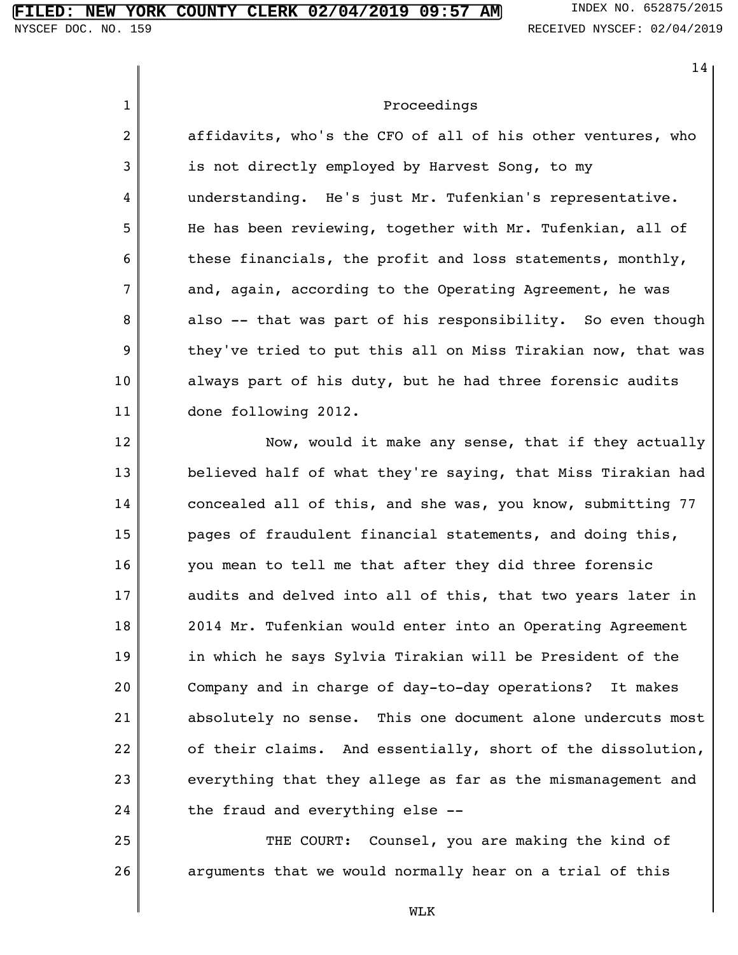26

1 2 3 4 5 6 7 8 9 10 11 12 13 14 15 16 17 18 19 20 21 22 23 24 25 14 Proceedings affidavits, who's the CFO of all of his other ventures, who is not directly employed by Harvest Song, to my understanding. He's just Mr. Tufenkian's representative. He has been reviewing, together with Mr. Tufenkian, all of these financials, the profit and loss statements, monthly, and, again, according to the Operating Agreement, he was also -- that was part of his responsibility. So even though they've tried to put this all on Miss Tirakian now, that was always part of his duty, but he had three forensic audits done following 2012. Now, would it make any sense, that if they actually believed half of what they're saying, that Miss Tirakian had concealed all of this, and she was, you know, submitting 77 pages of fraudulent financial statements, and doing this, you mean to tell me that after they did three forensic audits and delved into all of this, that two years later in 2014 Mr. Tufenkian would enter into an Operating Agreement in which he says Sylvia Tirakian will be President of the Company and in charge of day-to-day operations? It makes absolutely no sense. This one document alone undercuts most of their claims. And essentially, short of the dissolution, everything that they allege as far as the mismanagement and the fraud and everything else -- THE COURT: Counsel, you are making the kind of

WLK

arguments that we would normally hear on a trial of this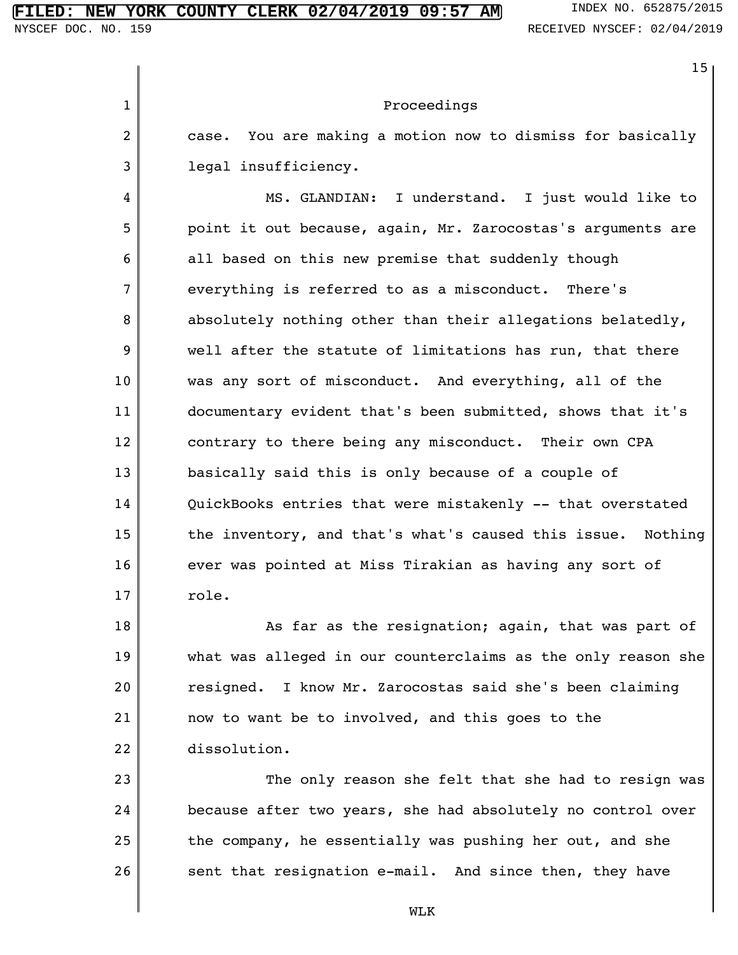18

19

20

21

22

1 2 3 4 5 6 7 8 9 10 11 12 13 14 15 16 17 15 Proceedings case. You are making a motion now to dismiss for basically legal insufficiency. MS. GLANDIAN: I understand. I just would like to point it out because, again, Mr. Zarocostas's arguments are all based on this new premise that suddenly though everything is referred to as a misconduct. There's absolutely nothing other than their allegations belatedly, well after the statute of limitations has run, that there was any sort of misconduct. And everything, all of the documentary evident that's been submitted, shows that it's contrary to there being any misconduct. Their own CPA basically said this is only because of a couple of QuickBooks entries that were mistakenly -- that overstated the inventory, and that's what's caused this issue. Nothing ever was pointed at Miss Tirakian as having any sort of role.

As far as the resignation; again, that was part of what was alleged in our counterclaims as the only reason she resigned. I know Mr. Zarocostas said she's been claiming now to want be to involved, and this goes to the dissolution.

23 24 25 26 The only reason she felt that she had to resign was because after two years, she had absolutely no control over the company, he essentially was pushing her out, and she sent that resignation e-mail. And since then, they have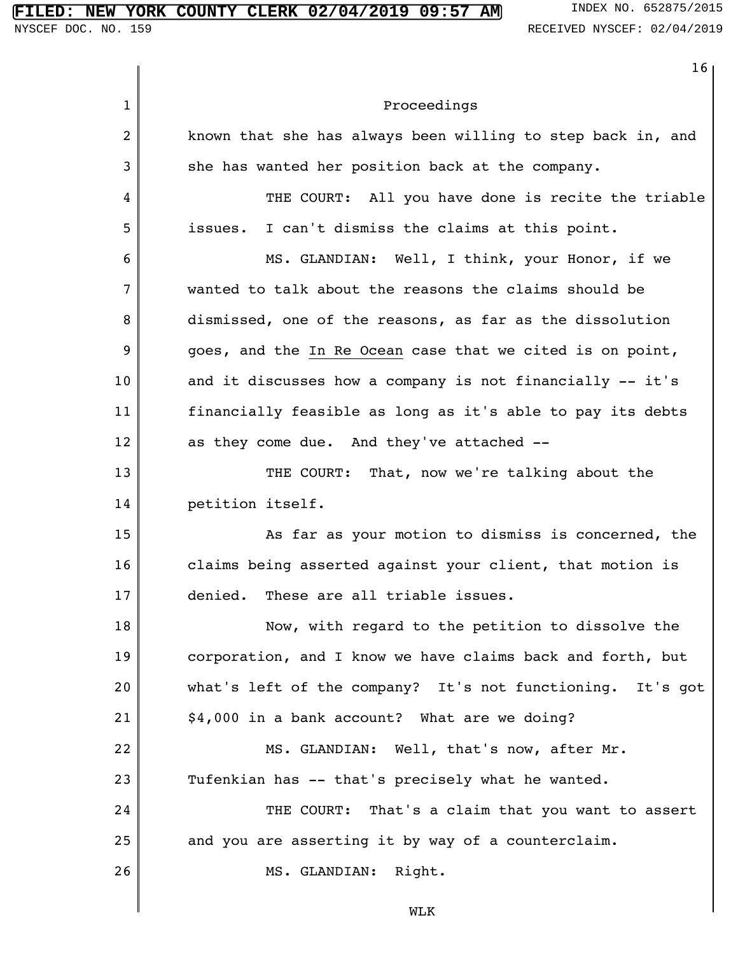1 2 3 4 5 6 7 8 9 10 11 12 13 14 15 16 17 18 19 20 21 22 23 24 25 26 16 Proceedings known that she has always been willing to step back in, and she has wanted her position back at the company. THE COURT: All you have done is recite the triable issues. I can't dismiss the claims at this point. MS. GLANDIAN: Well, I think, your Honor, if we wanted to talk about the reasons the claims should be dismissed, one of the reasons, as far as the dissolution goes, and the In Re Ocean case that we cited is on point, and it discusses how a company is not financially -- it's financially feasible as long as it's able to pay its debts as they come due. And they've attached -- THE COURT: That, now we're talking about the petition itself. As far as your motion to dismiss is concerned, the claims being asserted against your client, that motion is denied. These are all triable issues. Now, with regard to the petition to dissolve the corporation, and I know we have claims back and forth, but what's left of the company? It's not functioning. It's got \$4,000 in a bank account? What are we doing? MS. GLANDIAN: Well, that's now, after Mr. Tufenkian has -- that's precisely what he wanted. THE COURT: That's a claim that you want to assert and you are asserting it by way of a counterclaim. MS. GLANDIAN: Right.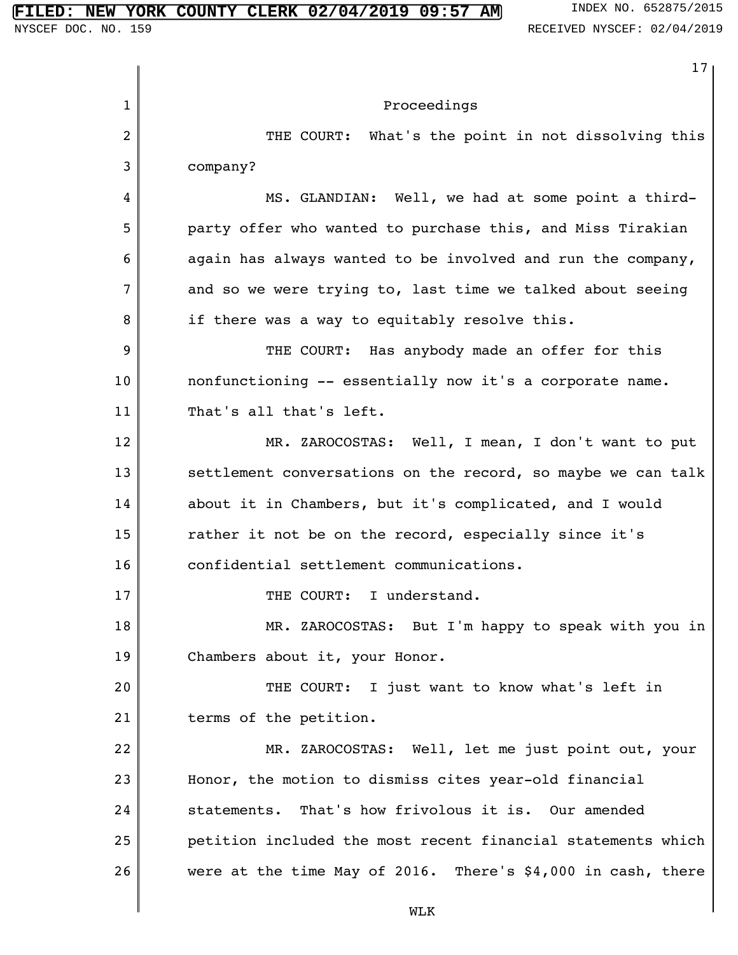1 2 3 4 5 6 7 8 9 10 11 12 13 14 15 16 17 18 19 20 21 22 23 24 25 26 17 Proceedings THE COURT: What's the point in not dissolving this company? MS. GLANDIAN: Well, we had at some point a thirdparty offer who wanted to purchase this, and Miss Tirakian again has always wanted to be involved and run the company, and so we were trying to, last time we talked about seeing if there was a way to equitably resolve this. THE COURT: Has anybody made an offer for this nonfunctioning -- essentially now it's a corporate name. That's all that's left. MR. ZAROCOSTAS: Well, I mean, I don't want to put settlement conversations on the record, so maybe we can talk about it in Chambers, but it's complicated, and I would rather it not be on the record, especially since it's confidential settlement communications. THE COURT: I understand. MR. ZAROCOSTAS: But I'm happy to speak with you in Chambers about it, your Honor. THE COURT: I just want to know what's left in terms of the petition. MR. ZAROCOSTAS: Well, let me just point out, your Honor, the motion to dismiss cites year-old financial statements. That's how frivolous it is. Our amended petition included the most recent financial statements which were at the time May of 2016. There's \$4,000 in cash, there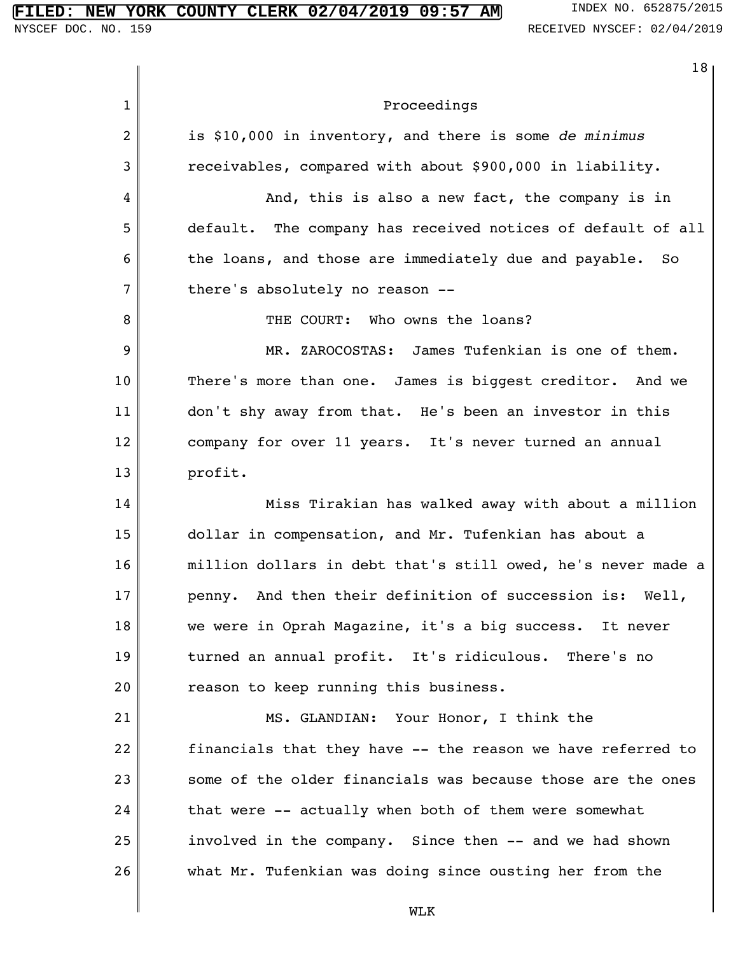|              | 18                                                             |
|--------------|----------------------------------------------------------------|
| $\mathbf{1}$ | Proceedings                                                    |
| 2            | is \$10,000 in inventory, and there is some de minimus         |
| 3            | receivables, compared with about \$900,000 in liability.       |
| 4            | And, this is also a new fact, the company is in                |
| 5            | default. The company has received notices of default of all    |
| 6            | the loans, and those are immediately due and payable.<br>So.   |
| 7            | there's absolutely no reason --                                |
| 8            | THE COURT: Who owns the loans?                                 |
| 9            | MR. ZAROCOSTAS: James Tufenkian is one of them.                |
| 10           | There's more than one. James is biggest creditor. And we       |
| 11           | don't shy away from that. He's been an investor in this        |
| 12           | company for over 11 years. It's never turned an annual         |
| 13           | profit.                                                        |
| 14           | Miss Tirakian has walked away with about a million             |
| 15           | dollar in compensation, and Mr. Tufenkian has about a          |
| 16           | million dollars in debt that's still owed, he's never made a   |
| 17           | And then their definition of succession is:<br>Well,<br>penny. |
| 18           | we were in Oprah Magazine, it's a big success. It never        |
| 19           | turned an annual profit. It's ridiculous. There's no           |
| 20           | reason to keep running this business.                          |
| 21           | MS. GLANDIAN: Your Honor, I think the                          |
| 22           | financials that they have -- the reason we have referred to    |
| 23           | some of the older financials was because those are the ones    |
| 24           | that were -- actually when both of them were somewhat          |
| 25           | involved in the company. Since then -- and we had shown        |
| 26           | what Mr. Tufenkian was doing since ousting her from the        |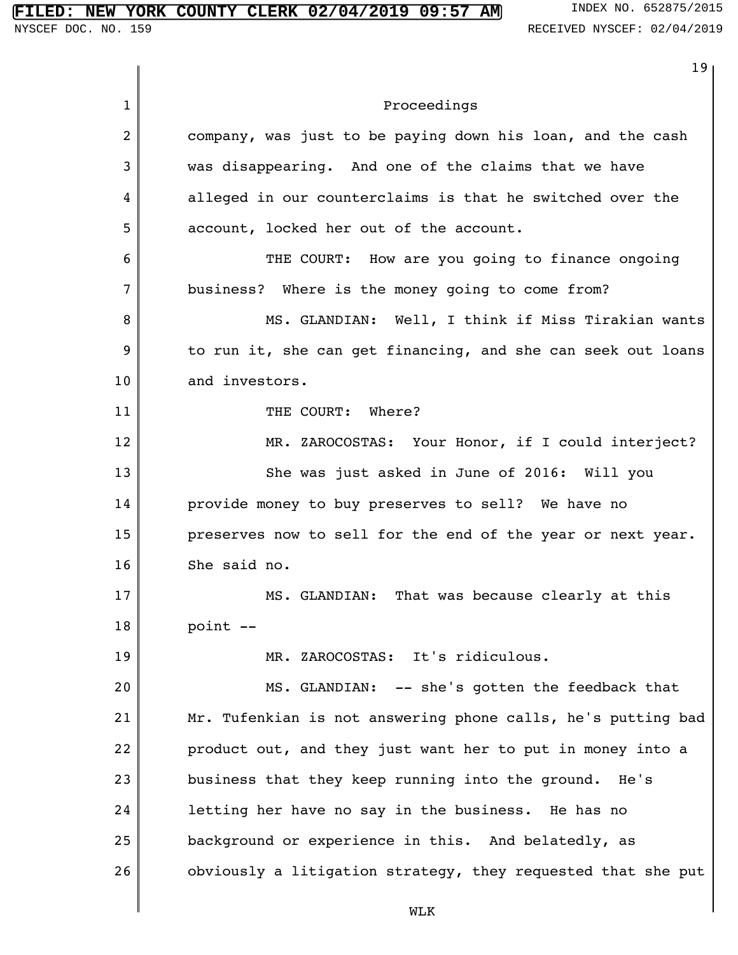|              | 19                                                           |
|--------------|--------------------------------------------------------------|
| $\mathbf{1}$ | Proceedings                                                  |
| 2            | company, was just to be paying down his loan, and the cash   |
| 3            | was disappearing. And one of the claims that we have         |
| 4            | alleged in our counterclaims is that he switched over the    |
| 5            | account, locked her out of the account.                      |
| 6            | THE COURT: How are you going to finance ongoing              |
| 7            | business? Where is the money going to come from?             |
| 8            | MS. GLANDIAN: Well, I think if Miss Tirakian wants           |
| 9            | to run it, she can get financing, and she can seek out loans |
| 10           | and investors.                                               |
| 11           | THE COURT: Where?                                            |
| 12           | MR. ZAROCOSTAS: Your Honor, if I could interject?            |
| 13           | She was just asked in June of 2016: Will you                 |
| 14           | provide money to buy preserves to sell? We have no           |
| 15           | preserves now to sell for the end of the year or next year.  |
| 16           | She said no.                                                 |
| 17           | That was because clearly at this<br>MS. GLANDIAN:            |
| 18           | point --                                                     |
| 19           | MR. ZAROCOSTAS: It's ridiculous.                             |
| 20           | MS. GLANDIAN: -- she's gotten the feedback that              |
| 21           | Mr. Tufenkian is not answering phone calls, he's putting bad |
| 22           | product out, and they just want her to put in money into a   |
| 23           | business that they keep running into the ground. He's        |
| 24           | letting her have no say in the business. He has no           |
| 25           | background or experience in this. And belatedly, as          |
| 26           | obviously a litigation strategy, they requested that she put |
|              | <b>MTK</b>                                                   |